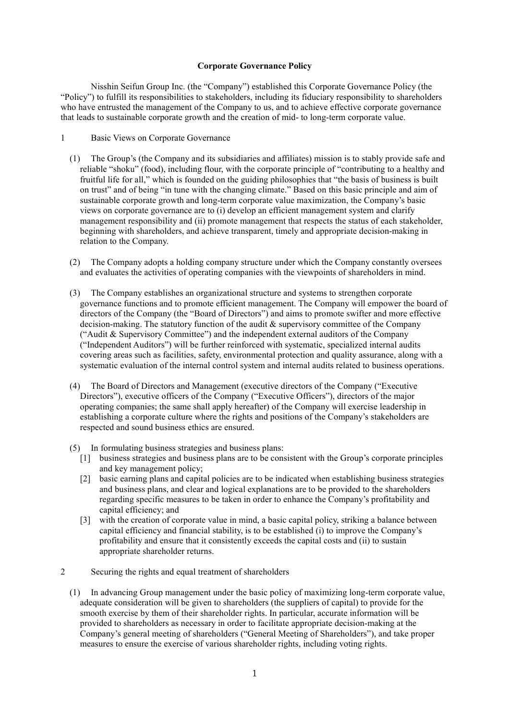# **Corporate Governance Policy**

Nisshin Seifun Group Inc. (the "Company") established this Corporate Governance Policy (the "Policy") to fulfill its responsibilities to stakeholders, including its fiduciary responsibility to shareholders who have entrusted the management of the Company to us, and to achieve effective corporate governance that leads to sustainable corporate growth and the creation of mid- to long-term corporate value.

- 1 Basic Views on Corporate Governance
	- (1) The Group's (the Company and its subsidiaries and affiliates) mission is to stably provide safe and reliable "shoku" (food), including flour, with the corporate principle of "contributing to a healthy and fruitful life for all," which is founded on the guiding philosophies that "the basis of business is built on trust" and of being "in tune with the changing climate." Based on this basic principle and aim of sustainable corporate growth and long-term corporate value maximization, the Company's basic views on corporate governance are to (i) develop an efficient management system and clarify management responsibility and (ii) promote management that respects the status of each stakeholder, beginning with shareholders, and achieve transparent, timely and appropriate decision-making in relation to the Company.
	- (2) The Company adopts a holding company structure under which the Company constantly oversees and evaluates the activities of operating companies with the viewpoints of shareholders in mind.
	- (3) The Company establishes an organizational structure and systems to strengthen corporate governance functions and to promote efficient management. The Company will empower the board of directors of the Company (the "Board of Directors") and aims to promote swifter and more effective decision-making. The statutory function of the audit & supervisory committee of the Company ("Audit & Supervisory Committee") and the independent external auditors of the Company ("Independent Auditors") will be further reinforced with systematic, specialized internal audits covering areas such as facilities, safety, environmental protection and quality assurance, along with a systematic evaluation of the internal control system and internal audits related to business operations.
	- (4) The Board of Directors and Management (executive directors of the Company ("Executive Directors"), executive officers of the Company ("Executive Officers"), directors of the major operating companies; the same shall apply hereafter) of the Company will exercise leadership in establishing a corporate culture where the rights and positions of the Company's stakeholders are respected and sound business ethics are ensured.
	- (5) In formulating business strategies and business plans:
		- [1] business strategies and business plans are to be consistent with the Group's corporate principles and key management policy;
		- [2] basic earning plans and capital policies are to be indicated when establishing business strategies and business plans, and clear and logical explanations are to be provided to the shareholders regarding specific measures to be taken in order to enhance the Company's profitability and capital efficiency; and
		- [3] with the creation of corporate value in mind, a basic capital policy, striking a balance between capital efficiency and financial stability, is to be established (i) to improve the Company's profitability and ensure that it consistently exceeds the capital costs and (ii) to sustain appropriate shareholder returns.
- 2 Securing the rights and equal treatment of shareholders
	- (1) In advancing Group management under the basic policy of maximizing long-term corporate value, adequate consideration will be given to shareholders (the suppliers of capital) to provide for the smooth exercise by them of their shareholder rights. In particular, accurate information will be provided to shareholders as necessary in order to facilitate appropriate decision-making at the Company's general meeting of shareholders ("General Meeting of Shareholders"), and take proper measures to ensure the exercise of various shareholder rights, including voting rights.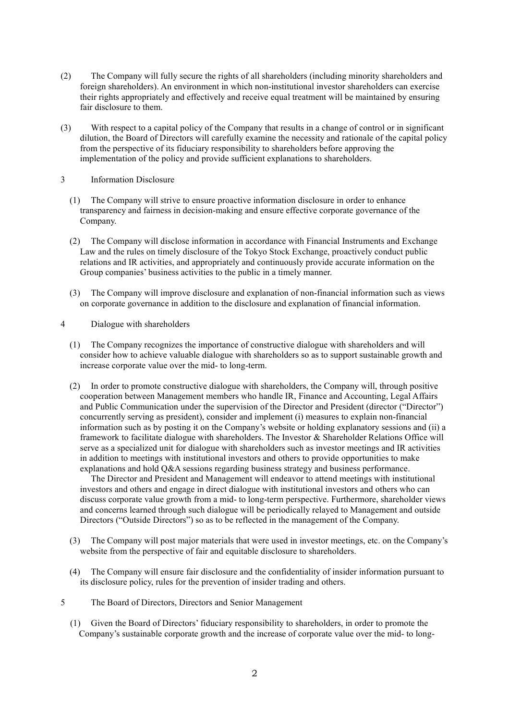- (2) The Company will fully secure the rights of all shareholders (including minority shareholders and foreign shareholders). An environment in which non-institutional investor shareholders can exercise their rights appropriately and effectively and receive equal treatment will be maintained by ensuring fair disclosure to them.
- (3) With respect to a capital policy of the Company that results in a change of control or in significant dilution, the Board of Directors will carefully examine the necessity and rationale of the capital policy from the perspective of its fiduciary responsibility to shareholders before approving the implementation of the policy and provide sufficient explanations to shareholders.

# 3 Information Disclosure

- (1) The Company will strive to ensure proactive information disclosure in order to enhance transparency and fairness in decision-making and ensure effective corporate governance of the Company.
- (2) The Company will disclose information in accordance with Financial Instruments and Exchange Law and the rules on timely disclosure of the Tokyo Stock Exchange, proactively conduct public relations and IR activities, and appropriately and continuously provide accurate information on the Group companies' business activities to the public in a timely manner.
- (3) The Company will improve disclosure and explanation of non-financial information such as views on corporate governance in addition to the disclosure and explanation of financial information.
- 4 Dialogue with shareholders
	- (1) The Company recognizes the importance of constructive dialogue with shareholders and will consider how to achieve valuable dialogue with shareholders so as to support sustainable growth and increase corporate value over the mid- to long-term.
	- (2) In order to promote constructive dialogue with shareholders, the Company will, through positive cooperation between Management members who handle IR, Finance and Accounting, Legal Affairs and Public Communication under the supervision of the Director and President (director ("Director") concurrently serving as president), consider and implement (i) measures to explain non-financial information such as by posting it on the Company's website or holding explanatory sessions and (ii) a framework to facilitate dialogue with shareholders. The Investor & Shareholder Relations Office will serve as a specialized unit for dialogue with shareholders such as investor meetings and IR activities in addition to meetings with institutional investors and others to provide opportunities to make explanations and hold Q&A sessions regarding business strategy and business performance.

The Director and President and Management will endeavor to attend meetings with institutional investors and others and engage in direct dialogue with institutional investors and others who can discuss corporate value growth from a mid- to long-term perspective. Furthermore, shareholder views and concerns learned through such dialogue will be periodically relayed to Management and outside Directors ("Outside Directors") so as to be reflected in the management of the Company.

- (3) The Company will post major materials that were used in investor meetings, etc. on the Company's website from the perspective of fair and equitable disclosure to shareholders.
- (4) The Company will ensure fair disclosure and the confidentiality of insider information pursuant to its disclosure policy, rules for the prevention of insider trading and others.
- 5 The Board of Directors, Directors and Senior Management
	- (1) Given the Board of Directors' fiduciary responsibility to shareholders, in order to promote the Company's sustainable corporate growth and the increase of corporate value over the mid- to long-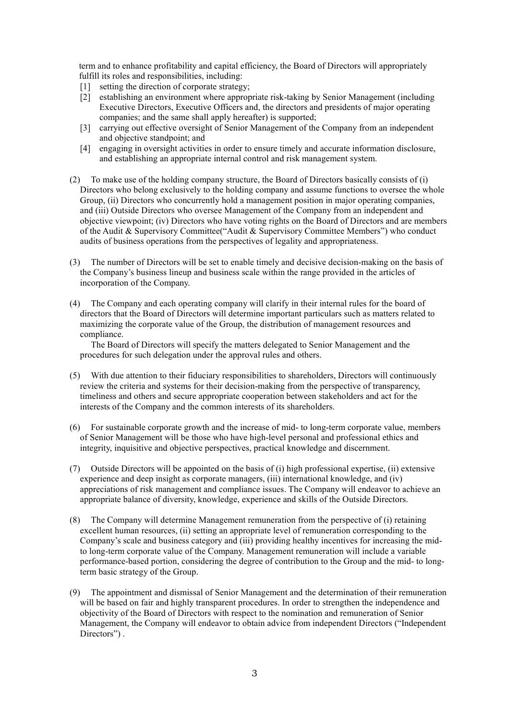term and to enhance profitability and capital efficiency, the Board of Directors will appropriately fulfill its roles and responsibilities, including:

- [1] setting the direction of corporate strategy;
- [2] establishing an environment where appropriate risk-taking by Senior Management (including Executive Directors, Executive Officers and, the directors and presidents of major operating companies; and the same shall apply hereafter) is supported;
- [3] carrying out effective oversight of Senior Management of the Company from an independent and objective standpoint; and
- [4] engaging in oversight activities in order to ensure timely and accurate information disclosure, and establishing an appropriate internal control and risk management system.
- (2) To make use of the holding company structure, the Board of Directors basically consists of (i) Directors who belong exclusively to the holding company and assume functions to oversee the whole Group, (ii) Directors who concurrently hold a management position in major operating companies, and (iii) Outside Directors who oversee Management of the Company from an independent and objective viewpoint; (iⅴ) Directors who have voting rights on the Board of Directors and are members of the Audit & Supervisory Committee("Audit & Supervisory Committee Members") who conduct audits of business operations from the perspectives of legality and appropriateness.
- (3) The number of Directors will be set to enable timely and decisive decision-making on the basis of the Company's business lineup and business scale within the range provided in the articles of incorporation of the Company.
- (4) The Company and each operating company will clarify in their internal rules for the board of directors that the Board of Directors will determine important particulars such as matters related to maximizing the corporate value of the Group, the distribution of management resources and compliance.

The Board of Directors will specify the matters delegated to Senior Management and the procedures for such delegation under the approval rules and others.

- (5) With due attention to their fiduciary responsibilities to shareholders, Directors will continuously review the criteria and systems for their decision-making from the perspective of transparency, timeliness and others and secure appropriate cooperation between stakeholders and act for the interests of the Company and the common interests of its shareholders.
- (6) For sustainable corporate growth and the increase of mid- to long-term corporate value, members of Senior Management will be those who have high-level personal and professional ethics and integrity, inquisitive and objective perspectives, practical knowledge and discernment.
- (7) Outside Directors will be appointed on the basis of (i) high professional expertise, (ii) extensive experience and deep insight as corporate managers, (iii) international knowledge, and (iv) appreciations of risk management and compliance issues. The Company will endeavor to achieve an appropriate balance of diversity, knowledge, experience and skills of the Outside Directors.
- (8) The Company will determine Management remuneration from the perspective of (i) retaining excellent human resources, (ii) setting an appropriate level of remuneration corresponding to the Company's scale and business category and (iii) providing healthy incentives for increasing the midto long-term corporate value of the Company. Management remuneration will include a variable performance-based portion, considering the degree of contribution to the Group and the mid- to longterm basic strategy of the Group.
- (9) The appointment and dismissal of Senior Management and the determination of their remuneration will be based on fair and highly transparent procedures. In order to strengthen the independence and objectivity of the Board of Directors with respect to the nomination and remuneration of Senior Management, the Company will endeavor to obtain advice from independent Directors ("Independent Directors").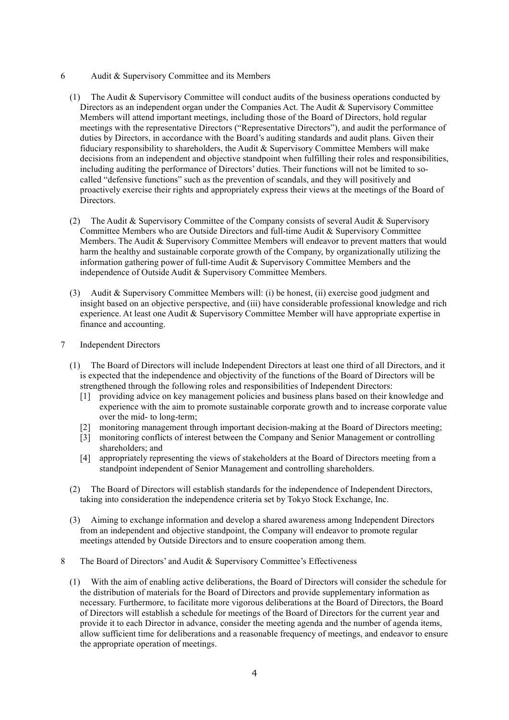- 6 Audit & Supervisory Committee and its Members
	- (1) The Audit & Supervisory Committee will conduct audits of the business operations conducted by Directors as an independent organ under the Companies Act. The Audit & Supervisory Committee Members will attend important meetings, including those of the Board of Directors, hold regular meetings with the representative Directors ("Representative Directors"), and audit the performance of duties by Directors, in accordance with the Board's auditing standards and audit plans. Given their fiduciary responsibility to shareholders, the Audit & Supervisory Committee Members will make decisions from an independent and objective standpoint when fulfilling their roles and responsibilities, including auditing the performance of Directors' duties. Their functions will not be limited to socalled "defensive functions" such as the prevention of scandals, and they will positively and proactively exercise their rights and appropriately express their views at the meetings of the Board of Directors.
	- (2) The Audit & Supervisory Committee of the Company consists of several Audit & Supervisory Committee Members who are Outside Directors and full-time Audit & Supervisory Committee Members. The Audit & Supervisory Committee Members will endeavor to prevent matters that would harm the healthy and sustainable corporate growth of the Company, by organizationally utilizing the information gathering power of full-time Audit & Supervisory Committee Members and the independence of Outside Audit & Supervisory Committee Members.
	- (3) Audit & Supervisory Committee Members will: (i) be honest, (ii) exercise good judgment and insight based on an objective perspective, and (iii) have considerable professional knowledge and rich experience. At least one Audit & Supervisory Committee Member will have appropriate expertise in finance and accounting.
- 7 Independent Directors
	- (1) The Board of Directors will include Independent Directors at least one third of all Directors, and it is expected that the independence and objectivity of the functions of the Board of Directors will be strengthened through the following roles and responsibilities of Independent Directors:
		- [1] providing advice on key management policies and business plans based on their knowledge and experience with the aim to promote sustainable corporate growth and to increase corporate value over the mid- to long-term;
		- [2] monitoring management through important decision-making at the Board of Directors meeting;
		- [3] monitoring conflicts of interest between the Company and Senior Management or controlling shareholders; and
		- [4] appropriately representing the views of stakeholders at the Board of Directors meeting from a standpoint independent of Senior Management and controlling shareholders.
	- (2) The Board of Directors will establish standards for the independence of Independent Directors, taking into consideration the independence criteria set by Tokyo Stock Exchange, Inc.
	- (3) Aiming to exchange information and develop a shared awareness among Independent Directors from an independent and objective standpoint, the Company will endeavor to promote regular meetings attended by Outside Directors and to ensure cooperation among them.
- 8 The Board of Directors' and Audit & Supervisory Committee's Effectiveness
	- (1) With the aim of enabling active deliberations, the Board of Directors will consider the schedule for the distribution of materials for the Board of Directors and provide supplementary information as necessary. Furthermore, to facilitate more vigorous deliberations at the Board of Directors, the Board of Directors will establish a schedule for meetings of the Board of Directors for the current year and provide it to each Director in advance, consider the meeting agenda and the number of agenda items, allow sufficient time for deliberations and a reasonable frequency of meetings, and endeavor to ensure the appropriate operation of meetings.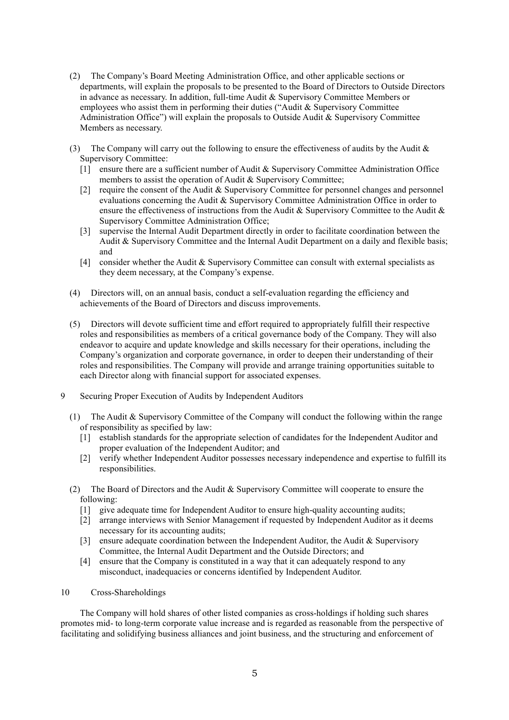- (2) The Company's Board Meeting Administration Office, and other applicable sections or departments, will explain the proposals to be presented to the Board of Directors to Outside Directors in advance as necessary. In addition, full-time Audit & Supervisory Committee Members or employees who assist them in performing their duties ("Audit & Supervisory Committee Administration Office") will explain the proposals to Outside Audit & Supervisory Committee Members as necessary.
- (3) The Company will carry out the following to ensure the effectiveness of audits by the Audit  $\&$ Supervisory Committee:
	- [1] ensure there are a sufficient number of Audit & Supervisory Committee Administration Office members to assist the operation of Audit & Supervisory Committee;
	- [2] require the consent of the Audit & Supervisory Committee for personnel changes and personnel evaluations concerning the Audit & Supervisory Committee Administration Office in order to ensure the effectiveness of instructions from the Audit & Supervisory Committee to the Audit & Supervisory Committee Administration Office;
	- [3] supervise the Internal Audit Department directly in order to facilitate coordination between the Audit & Supervisory Committee and the Internal Audit Department on a daily and flexible basis; and
	- [4] consider whether the Audit & Supervisory Committee can consult with external specialists as they deem necessary, at the Company's expense.
- (4) Directors will, on an annual basis, conduct a self-evaluation regarding the efficiency and achievements of the Board of Directors and discuss improvements.
- (5) Directors will devote sufficient time and effort required to appropriately fulfill their respective roles and responsibilities as members of a critical governance body of the Company. They will also endeavor to acquire and update knowledge and skills necessary for their operations, including the Company's organization and corporate governance, in order to deepen their understanding of their roles and responsibilities. The Company will provide and arrange training opportunities suitable to each Director along with financial support for associated expenses.
- 9 Securing Proper Execution of Audits by Independent Auditors
	- (1) The Audit & Supervisory Committee of the Company will conduct the following within the range of responsibility as specified by law:
		- [1] establish standards for the appropriate selection of candidates for the Independent Auditor and proper evaluation of the Independent Auditor; and
		- [2] verify whether Independent Auditor possesses necessary independence and expertise to fulfill its responsibilities.
	- (2) The Board of Directors and the Audit & Supervisory Committee will cooperate to ensure the following:
		- [1] give adequate time for Independent Auditor to ensure high-quality accounting audits;
		- [2] arrange interviews with Senior Management if requested by Independent Auditor as it deems necessary for its accounting audits;
		- [3] ensure adequate coordination between the Independent Auditor, the Audit & Supervisory Committee, the Internal Audit Department and the Outside Directors; and
		- [4] ensure that the Company is constituted in a way that it can adequately respond to any misconduct, inadequacies or concerns identified by Independent Auditor.
- 10 Cross-Shareholdings

The Company will hold shares of other listed companies as cross-holdings if holding such shares promotes mid- to long-term corporate value increase and is regarded as reasonable from the perspective of facilitating and solidifying business alliances and joint business, and the structuring and enforcement of